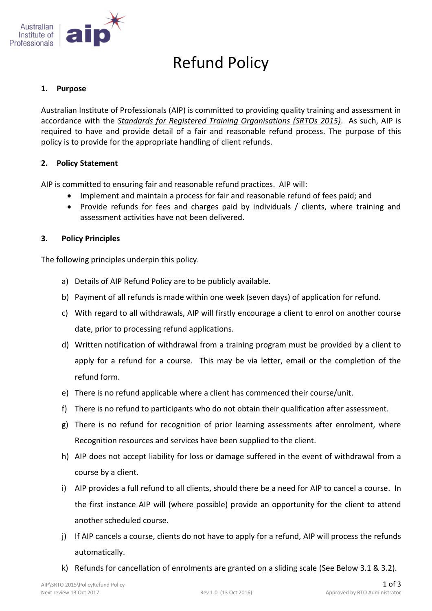

# Refund Policy

## **1. Purpose**

Australian Institute of Professionals (AIP) is committed to providing quality training and assessment in accordance with the *Standards for Registered Training Organisations (SRTOs 2015)*. As such, AIP is required to have and provide detail of a fair and reasonable refund process. The purpose of this policy is to provide for the appropriate handling of client refunds.

# **2. Policy Statement**

AIP is committed to ensuring fair and reasonable refund practices. AIP will:

- Implement and maintain a process for fair and reasonable refund of fees paid; and
- Provide refunds for fees and charges paid by individuals / clients, where training and assessment activities have not been delivered.

# **3. Policy Principles**

The following principles underpin this policy.

- a) Details of AIP Refund Policy are to be publicly available.
- b) Payment of all refunds is made within one week (seven days) of application for refund.
- c) With regard to all withdrawals, AIP will firstly encourage a client to enrol on another course date, prior to processing refund applications.
- d) Written notification of withdrawal from a training program must be provided by a client to apply for a refund for a course. This may be via letter, email or the completion of the refund form.
- e) There is no refund applicable where a client has commenced their course/unit.
- f) There is no refund to participants who do not obtain their qualification after assessment.
- g) There is no refund for recognition of prior learning assessments after enrolment, where Recognition resources and services have been supplied to the client.
- h) AIP does not accept liability for loss or damage suffered in the event of withdrawal from a course by a client.
- i) AIP provides a full refund to all clients, should there be a need for AIP to cancel a course. In the first instance AIP will (where possible) provide an opportunity for the client to attend another scheduled course.
- j) If AIP cancels a course, clients do not have to apply for a refund, AIP will process the refunds automatically.
- k) Refunds for cancellation of enrolments are granted on a sliding scale (See Below 3.1 & 3.2).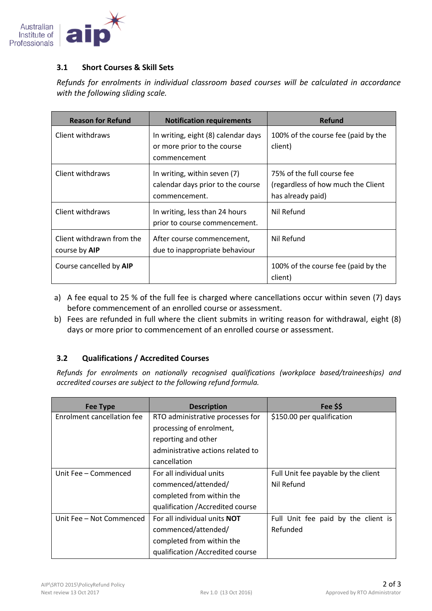

#### **3.1 Short Courses & Skill Sets**

*Refunds for enrolments in individual classroom based courses will be calculated in accordance with the following sliding scale.*

| <b>Reason for Refund</b>                   | <b>Notification requirements</b>                                                   | Refund                                                                                |
|--------------------------------------------|------------------------------------------------------------------------------------|---------------------------------------------------------------------------------------|
| Client withdraws                           | In writing, eight (8) calendar days<br>or more prior to the course<br>commencement | 100% of the course fee (paid by the<br>client)                                        |
| Client withdraws                           | In writing, within seven (7)<br>calendar days prior to the course<br>commencement. | 75% of the full course fee<br>(regardless of how much the Client<br>has already paid) |
| Client withdraws                           | In writing, less than 24 hours<br>prior to course commencement.                    | Nil Refund                                                                            |
| Client withdrawn from the<br>course by AIP | After course commencement,<br>due to inappropriate behaviour                       | Nil Refund                                                                            |
| Course cancelled by AIP                    |                                                                                    | 100% of the course fee (paid by the<br>client)                                        |

- a) A fee equal to 25 % of the full fee is charged where cancellations occur within seven (7) days before commencement of an enrolled course or assessment.
- b) Fees are refunded in full where the client submits in writing reason for withdrawal, eight (8) days or more prior to commencement of an enrolled course or assessment.

#### **3.2 Qualifications / Accredited Courses**

*Refunds for enrolments on nationally recognised qualifications (workplace based/traineeships) and accredited courses are subject to the following refund formula.* 

| <b>Fee Type</b>            | <b>Description</b>                  | Fee \$\$                            |
|----------------------------|-------------------------------------|-------------------------------------|
| Enrolment cancellation fee | RTO administrative processes for    | \$150.00 per qualification          |
|                            | processing of enrolment,            |                                     |
|                            | reporting and other                 |                                     |
|                            | administrative actions related to   |                                     |
|                            | cancellation                        |                                     |
| Unit Fee - Commenced       | For all individual units            | Full Unit fee payable by the client |
|                            | commenced/attended/                 | Nil Refund                          |
|                            | completed from within the           |                                     |
|                            | qualification / Accredited course   |                                     |
| Unit Fee - Not Commenced   | For all individual units <b>NOT</b> | Full Unit fee paid by the client is |
|                            | commenced/attended/                 | Refunded                            |
|                            | completed from within the           |                                     |
|                            | qualification / Accredited course   |                                     |